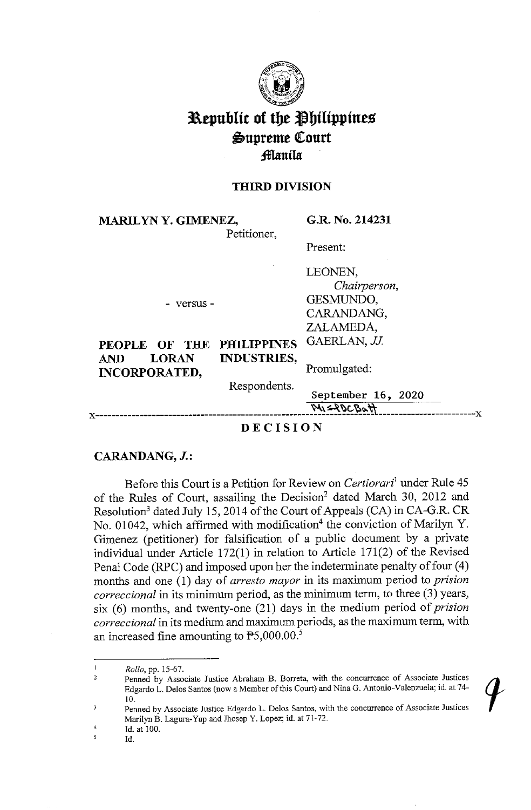

# **Republic of the Philippines**  $\triangle$ upreme Court **:fflanila:**

## **THIRD DIVISION**

**MARILYN Y. GIMENEZ,** 

**G.R. No. 214231** 

Petitioner,

Present:

- versus -

LEONEN, *Chairperson,*  GESMUNDO, CARANDANG, ZALAMEDA,

20<sub>20</sub>

| PEOPLE OF THE PHILIPPINES GAERLAN, JJ. |                          |               |
|----------------------------------------|--------------------------|---------------|
| <b>AND</b><br><b>INCORPORATED,</b>     | <b>LORAN INDUSTRIES,</b> | Promulgated:  |
|                                        | Respondents.             | September 16. |

X---------------------------------------- ~\ **~~(.,~ti,.** 't\.L--------X

**DECISION** 

# **CARANDANG, J.:**

Before this Court is a Petition for Review on *Certiorari*<sup>1</sup>under Rule 45 of the Rules of Court, assailing the Decision<sup>2</sup> dated March 30, 2012 and Resolution<sup>3</sup> dated July 15, 2014 of the Court of Appeals (CA) in CA-G.R. CR No. 01042, which affirmed with modification<sup>4</sup> the conviction of Marilyn Y. Gimenez (petitioner) for falsification of a public document by a private individual under Article 172(1) in relation to Article 171(2) of the Revised Penal Code (RPC) and imposed upon her the indeterminate penalty of four (4) months and one (1) day of *arresto mayor* in its maximum period to *prision correccional* in its minimum period, as the minimum term, to three (3) years, six (6) months, and twenty-one (21) days in the medium period of *prision correccional* in its medium and maximum periods, as the maximum term, with an increased fine amounting to  $\mathbb{P}5,000.00$ .<sup>5</sup>

Id.

 $\mathbf{I}$ *Rollo,* pp. 15-67.

Penned by Associate Justice Abrabam B. Borreta, witb the concurrence of Associate Justices 2 Edgardo L. Delos Santos (now a Member of this Court) and Nina G. Antonio-Valenzuela; id. at 74- 10. 3

**Penned by Associate Justice Edgardo L. Delos Santos, with the concurrence of Associate Justices**  Marilyn B. Lagura-Yap and Jhosep Y. Lopez; id. at 71-72.

<sup>4</sup>  Id. at 100.  $\overline{5}$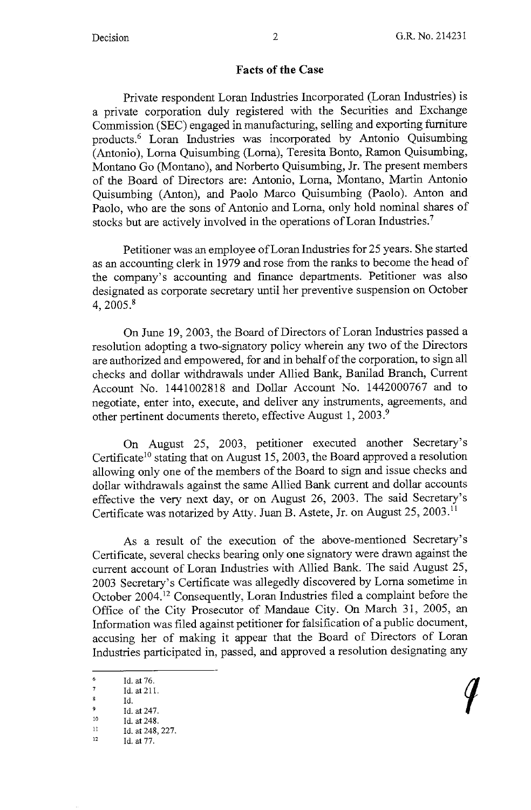## **Facts of the Case**

Private respondent Loran Industries Incorporated (Loran Industries) is a private corporation duly registered with the Securities and Exchange Commission (SEC) engaged in manufacturing, selling and exporting furniture products.<sup>6</sup> Loran Industries was incorporated by Antonio Quisumbing (Antonio), Loma Quisumbing (Loma), Teresita Bonto, Ramon Quisumbing, Montano Go (Montano), and Norberto Quisumbing, Jr. The present members of the Board of Directors are: Antonio, Loma, Montano, Martin Antonio Quisumbing (Anton), and Paolo Marco Quisumbing (Paolo). Anton and Paolo, who are the sons of Antonio and Loma, only hold nominal shares of stocks but are actively involved in the operations of Loran Industries.<sup>7</sup>

Petitioner was an employee of Loran Industries for 25 years. She started as an accounting clerk in 1979 and rose from the ranks to become the head of the company's accounting and finance departments. Petitioner was also designated as corporate secretary until her preventive suspension on October 4, 2005.<sup>8</sup>

On June 19, 2003, the Board of Directors of Loran Industries passed a resolution adopting a two-signatory policy wherein any two of the Directors are authorized and empowered, for and in behalf of the corporation, to sign all checks and dollar withdrawals under Allied Bank, Banilad Branch, Current Account No. 1441002818 and Dollar Account No. 1442000767 and to negotiate, enter into, execute, and deliver any instruments, agreements, and other pertinent documents thereto, effective August 1, 2003.<sup>9</sup>

On August 25, 2003, petitioner executed another Secretary's Certificate<sup>10</sup> stating that on August 15, 2003, the Board approved a resolution allowing only one of the members of the Board to sign and issue checks and dollar withdrawals against the same Allied Bank current and dollar accounts effective the very next day, or on August 26, 2003. The said Secretary's Certificate was notarized by Atty. Juan B. Astete, Jr. on August 25, 2003.<sup>11</sup>

As a result of the execution of the above-mentioned Secretary's Certificate, several checks bearing only one signatory were drawn against the current account of Loran Industries with Allied Bank. The said August 25, 2003 Secretary's Certificate was allegedly discovered by Loma sometime in October 2004. 12 Consequently, Loran Industries filed a complaint before the Office of the City Prosecutor of Mandaue City. On March 31, 2005, an Information was filed against petitioner for falsification of a public document, accusing her of making it appear that the Board of Directors of Loran Industries participated in, passed, and approved a resolution designating any

 $\frac{6}{7}$  Id. at 76.

 $\frac{7}{8}$  Id. at 211.

Id.

 $\frac{9}{10}$  Id. at 247.

 $\frac{10}{11}$  Id. at 248. 227.

<sup>12</sup> Id. at 77.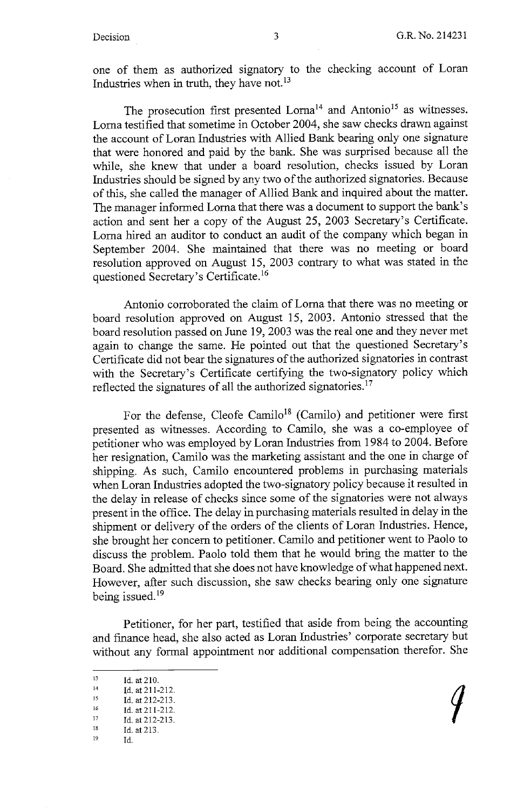one of them as authorized signatory to the checking account of Loran Industries when in truth, they have not.<sup>13</sup>

The prosecution first presented Lorna<sup>14</sup> and Antonio<sup>15</sup> as witnesses. Loma testified that sometime in October 2004, she saw checks drawn against the account of Loran Industries with Allied Bank bearing only one signature that were honored and paid by the bank. She was surprised because all the while, she knew that under a board resolution, checks issued by Loran Industries should be signed by any two of the authorized signatories. Because of this, she called the manager of Allied Bank and inquired about the matter. The manager informed Loma that there was a document to support the bank's action and sent her a copy of the August 25, 2003 Secretary's Certificate. Loma hired an auditor to conduct an audit of the company which began in September 2004. She maintained that there was no meeting or board resolution approved on August 15, 2003 contrary to what was stated in the questioned Secretary's Certificate. <sup>16</sup>

Antonio corroborated the claim of Loma that there was no meeting or board resolution approved on August 15, 2003. Antonio stressed that the board resolution passed on June 19, 2003 was the real one and they never met again to change the same. He pointed out that the questioned Secretary's Certificate did not bear the signatures of the authorized signatories in contrast with the Secretary's Certificate certifying the two-signatory policy which reflected the signatures of all the authorized signatories.<sup>17</sup>

For the defense, Cleofe Camilo<sup>18</sup> (Camilo) and petitioner were first presented as witnesses. According to Camilo, she was a co-employee of petitioner who was employed by Loran Industries from 1984 to 2004. Before her resignation, Camilo was the marketing assistant and the one in charge of shipping. As such, Camilo encountered problems in purchasing materials when Loran Industries adopted the two-signatory policy because it resulted in the delay in release of checks since some of the signatories were not always present in the office. The delay in purchasing materials resulted in delay in the shipment or delivery of the orders of the clients of Loran Industries. Hence, she brought her concern to petitioner. Camilo and petitioner went to Paolo to discuss the problem. Paolo told them that he would bring the matter to the Board. She admitted that she does not have knowledge of what happened next. However, after such discussion, she saw checks bearing only one signature being issued.<sup>19</sup>

Petitioner, for her part, testified that aside from being the accounting and finance head, she also acted as Loran Industries' corporate secretary but without any formal appointment nor additional compensation therefor. She

<sup>13</sup> Id. at 210.<br>
14 Id. at 211-212.<br>
15 Id. at 212-213.<br>
17 Id. at 212-213.<br>
18 Id. at 213.<br>
19. Id.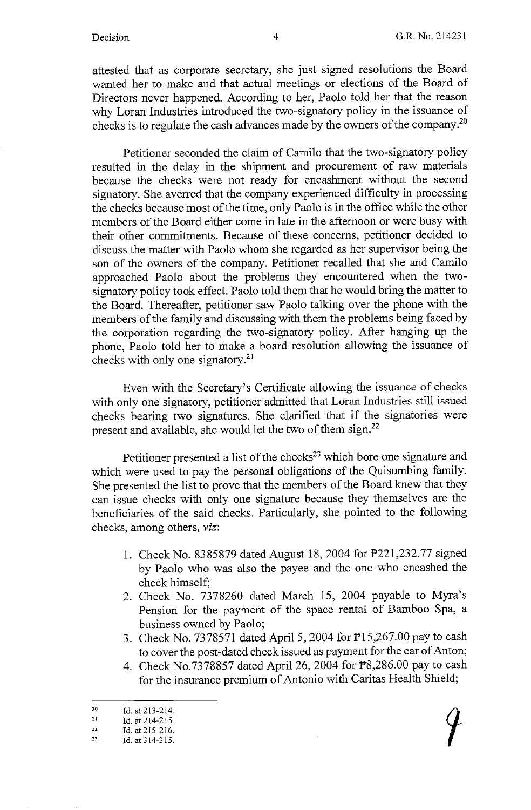attested that as corporate secretary, she just signed resolutions the Board wanted her to make and that actual meetings or elections of the Board of Directors never happened. According to her, Paolo told her that the reason why Loran Industries introduced the two-signatory policy in the issuance of checks is to regulate the cash advances made by the owners of the company.20

Petitioner seconded the claim of Camilo that the two-signatory policy resulted in the delay in the shipment and procurement of raw materials because the checks were not ready for encashment without the second signatory. She averred that the company experienced difficulty in processing the checks because most of the time, only Paolo is in the office while the other members of the Board either come in late in the afternoon or were busy with their other commitments. Because of these concerns, petitioner decided to discuss the matter with Paolo whom she regarded as her supervisor being the son of the owners of the company. Petitioner recalled that she and Camilo approached Paolo about the problems they encountered when the twosignatory policy took effect. Paolo told them that he would bring the matter to the Board. Thereafter, petitioner saw Paolo talking over the phone with the members of the family and discussing with them the problems being faced by the corporation regarding the two-signatory policy. After hanging up the phone, Paolo told her to make a board resolution allowing the issuance of checks with only one signatory.<sup>21</sup>

Even with the Secretary's Certificate allowing the issuance of checks with only one signatory, petitioner admitted that Loran Industries still issued checks bearing two signatures. She clarified that if the signatories were present and available, she would let the two of them sign.<sup>22</sup>

Petitioner presented a list of the checks<sup>23</sup> which bore one signature and which were used to pay the personal obligations of the Quisumbing family. She presented the list to prove that the members of the Board knew that they can issue checks with only one signature because they themselves are the beneficiaries of the said checks. Particularly, she pointed to the following checks, among others, *viz:* 

- 1. Check No. 8385879 dated August 18, 2004 for P221,232.77 signed by Paolo who was also the payee and the one who encashed the check himself;
- 2. Check No. 7378260 dated March 15, 2004 payable to Myra's Pension for the payment of the space rental of Bamboo Spa, a business owned by Paolo;
- 3. Check No. 7378571 dated April 5, 2004 for P15,267.00 pay to cash to cover the post-dated check issued as payment for the car of Anton;
- 4. Check No.7378857 dated April 26, 2004 for P8,286.00 pay to cash for the insurance premium of Antonio with Caritas Health Shield;

<sup>20</sup>  Id. at213-214.

<sup>21</sup>  Id. at214-215.

<sup>22</sup>  Id. at 215-216.

<sup>23</sup>  Id. at 314-315.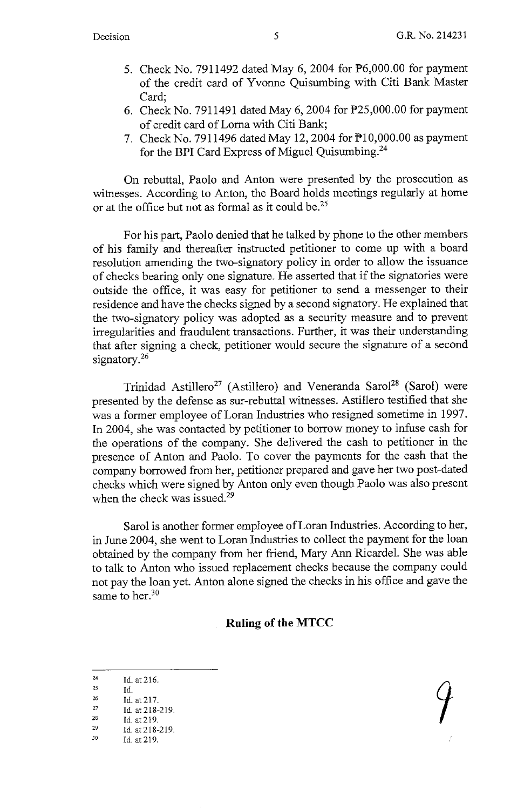- 5. Check No. 7911492 dated May 6, 2004 for  $\overline{P6,000.00}$  for payment of the credit card of Yvonne Quisumbing with Citi Bank Master Card;
- 6. Check No. 7911491 dated May 6, 2004 for P25,000.00 for payment of credit card of Loma with Citi Bank;
- 7. Check No. 7911496 dated May 12, 2004 for  $\overline{P}10,000.00$  as payment for the **BPI** Card Express of Miguel Quisumbing.24

On rebuttal, Paolo and Anton were presented by the prosecution as witnesses. According to Anton, the Board holds meetings regularly at home or at the office but not as formal as it could be.<sup>25</sup>

For his part, Paolo denied that he talked by phone to the other members of his family and thereafter instructed petitioner to come up with a board resolution amending the two-signatory policy in order to allow the issuance of checks bearing only one signature. He asserted that if the signatories were outside the office, it was easy for petitioner to send a messenger to their residence and have the checks signed by a second signatory. He explained that the two-signatory policy was adopted as a security measure and to prevent irregularities and fraudulent transactions. Further, it was their understanding that after signing a check, petitioner would secure the signature of a second signatory.<sup>26</sup>

Trinidad Astillero<sup>27</sup> (Astillero) and Veneranda Sarol<sup>28</sup> (Sarol) were presented by the defense as sur-rebuttal witnesses. Astillero testified that she was a former employee of Loran Industries who resigned sometime in 1997. In 2004, she was contacted by petitioner to borrow money to infuse cash for the operations of the company. She delivered the cash to petitioner in the presence of Anton and Paolo. To cover the payments for the cash that the company borrowed from her, petitioner prepared and gave her two post-dated checks which were signed by Anton only even though Paolo was also present when the check was issued.<sup>29</sup>

Sarol is another former employee of Loran Industries. According to her, in June 2004, she went to Loran Industries to collect the payment for the loan obtained by the company from her friend, Mary Ann Ricardel. She was able to talk to Anton who issued replacement checks because the company could not pay the loan yet. Anton alone signed the checks in his office and gave the same to her. $30$ 

# **Ruling of the MTCC**

 $\frac{24}{25}$  Id. at 216.

Id.

 $^{26}$  Id. at 217.<br>  $^{27}$  Id at 218-

<sup>27</sup> Id. at 218-219.<br>
28 Id. at 219.<br>
29 Id. at 218-219.

<sup>&</sup>lt;sup>29</sup> Id. at 218-219.<br><sup>30</sup> Id. at 219.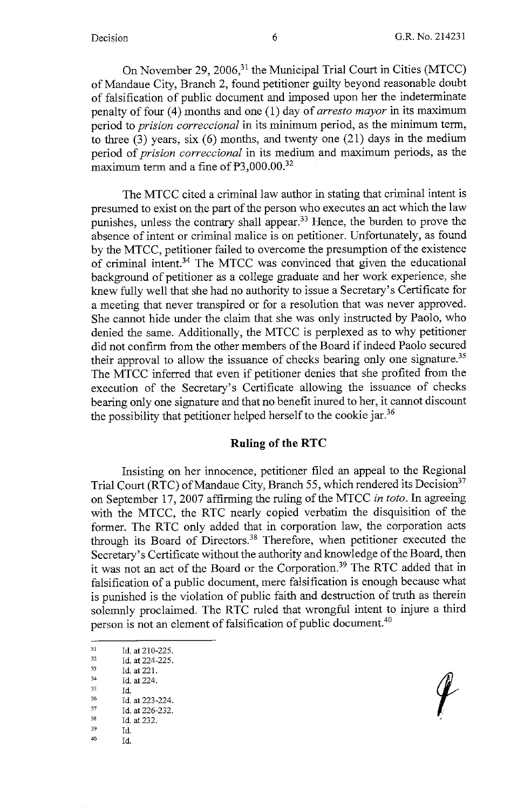On November 29, 2006,<sup>31</sup> the Municipal Trial Court in Cities (MTCC) of Mandaue City, Branch 2, found petitioner guilty beyond reasonable doubt of falsification of public document and imposed upon her the indeterminate penalty of four (4) months and one (1) day of *arresto mayor* in its maximum period to *prision correccional* in its minimum period, as the minimum term, to three  $(3)$  years, six  $(6)$  months, and twenty one  $(21)$  days in the medium period of *prision correccional* in its medium and maximum periods, as the maximum term and a fine of  $\mathbb{P}3,000.00^{32}$ 

The MTCC cited a criminal law author in stating that criminal intent is presumed to exist on the part of the person who executes an act which the law punishes, unless the contrary shall appear.<sup>33</sup> Hence, the burden to prove the absence of intent or criminal malice is on petitioner. Unfortunately, as found by the MTCC, petitioner failed to overcome the presumption of the existence of criminal intent. 34 The MTCC was convinced that given the educational background of petitioner as a college graduate and her work experience, she knew fully well that she had no authority to issue a Secretary's Certificate for a meeting that never transpired or for a resolution that was never approved. She cannot hide under the claim that she was only instructed by Paolo, who denied the same. Additionally, the MTCC is perplexed as to why petitioner did not confirm from the other members of the Board if indeed Paolo secured their approval to allow the issuance of checks bearing only one signature.<sup>35</sup> The MTCC inferred that even if petitioner denies that she profited from the execution of the Secretary's Certificate allowing the issuance of checks bearing only one signature and that no benefit inured to her, it cannot discount the possibility that petitioner helped herself to the cookie jar.<sup>36</sup>

# **Ruling of the RTC**

Insisting on her innocence, petitioner filed an appeal to the Regional Trial Court (RTC) of Mandaue City, Branch 55, which rendered its Decision<sup>37</sup> on September 17, 2007 affirming the ruling of the MTCC *in toto.* In agreeing with the MTCC, the RTC nearly copied verbatim the disquisition of the former. The RTC only added that in corporation law, the corporation acts through its Board of Directors.38 Therefore, when petitioner executed the Secretary's Certificate without the authority and knowledge of the Board, then it was not an act of the Board or the Corporation.39 The RTC added that in falsification of a public document, mere falsification is enough because what is punished is the violation of public faith and destruction of truth as therein solemnly proclaimed. The RTC ruled that wrongful intent to injure a third person is not an element of falsification of public document.40

31 Id. at 210-225.<br>
32 Id. at 224-225.<br>
33 Id. at 221. 33<br>
34<br>
34 Id. at 224.<br>
35 Id.<br>
35<br>
35 Id. at 223-224.<br>
37 Id. at 226-232.<br>
38 Id. at 232.<br>
39 Id.<br>
40 Id.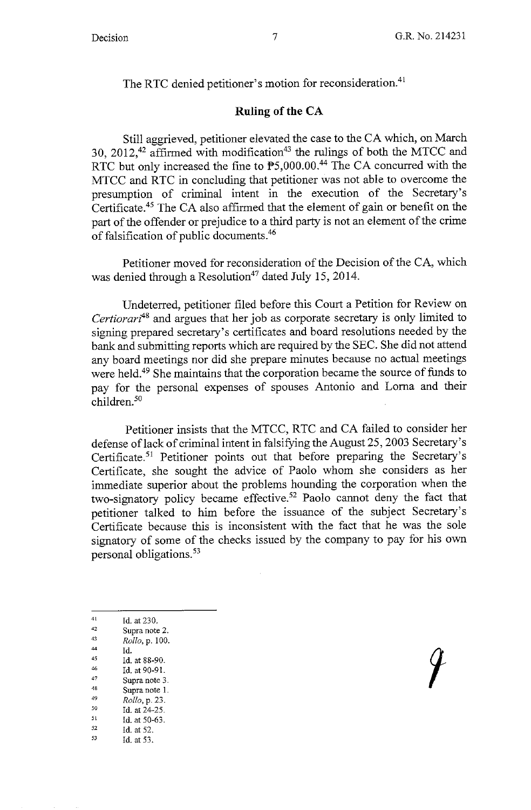The RTC denied petitioner's motion for reconsideration.<sup>41</sup>

# **Ruling of the CA**

Still aggrieved, petitioner elevated the case to the CA which, on March 30, 2012,<sup>42</sup> affirmed with modification<sup>43</sup> the rulings of both the MTCC and RTC but only increased the fine to P5,000.00.<sup>44</sup> The CA concurred with the MTCC and RTC in concluding that petitioner was not able to overcome the presumption of criminal intent in the execution of the Secretary's Certificate.45 The CA also affirmed that the element of gain or benefit on the part of the offender or prejudice to a third party is not an element of the crime of falsification of public documents.46

Petitioner moved for reconsideration of the Decision of the CA, which was denied through a Resolution<sup>47</sup> dated July 15, 2014.

Undeterred, petitioner filed before this Court a Petition for Review on *Certiorari*<sup>48</sup> and argues that her job as corporate secretary is only limited to signing prepared secretary's certificates and board resolutions needed by the bank and submitting reports which are required by the SEC. She did not attend any board meetings nor did she prepare minutes because no actual meetings were held. 49 She maintains that the corporation became the source of funds to pay for the personal expenses of spouses Antonio and Loma and their children.<sup>50</sup>

Petitioner insists that the MTCC, RTC and CA failed to consider her defense of lack of criminal intent in falsifying the August 25, 2003 Secretary's Certificate.<sup>51</sup> Petitioner points out that before preparing the Secretary's Certificate, she sought the advice of Paolo whom she considers as her immediate superior about the problems hounding the corporation when the two-signatory policy became effective.<sup>52</sup> Paolo cannot deny the fact that petitioner talked to him before the issuance of the subject Secretary's Certificate because this is inconsistent with the fact that he was the sole signatory of some of the checks issued by the company to pay for his own personal obligations.53

- 
- 41 Id. at 230.<br>
42 Supra note 2.<br>
43 *Rollo*, p. 100.<br>
44 Id
- 
- 
- 44 Id.<br>
45 Id. at 88-90.<br>
46 Id. at 90-91.<br>
47 Supra note 3.<br>
48 Supra note 1.
- 
- 
- 48 Supra note 1.<br>
<sup>49</sup> *Rollo*, p. 23.<br>
<sup>50</sup> **Id at 24-25**
- 
- 50 Id. at 24-25.<br>
51 Id. at 50-63.<br>
52 Id. at 52.<br>
53 Id. at 53.
- -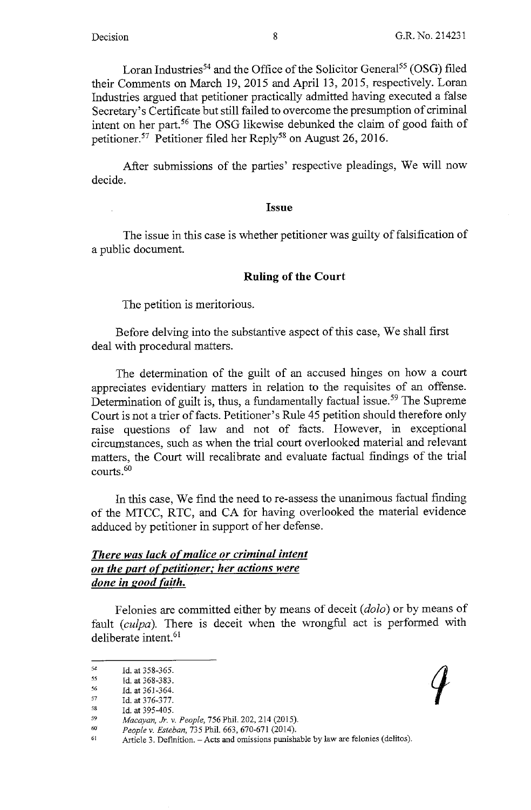Loran Industries<sup>54</sup> and the Office of the Solicitor General<sup>55</sup> (OSG) filed their Comments on March 19, 2015 and April 13, 2015, respectively. Loran Industries argued that petitioner practically admitted having executed a false Secretary's Certificate but still failed to overcome the presumption of criminal intent on her part. 56 The OSG likewise debunked the claim of good faith of petitioner. 57 Petitioner filed her Reply58 on August 26, 2016.

After submissions of the parties' respective pleadings, We will now decide.

#### **Issue**

The issue in this case is whether petitioner was guilty of falsification of a public document.

## **Ruling of the Court**

The petition is meritorious.

Before delving into the substantive aspect of this case, We shall first deal with procedural matters.

The determination of the guilt of an accused hinges on how a court appreciates evidentiary matters in relation to the requisites of an offense. Determination of guilt is, thus, a fundamentally factual issue. 59 The Supreme Court is not a trier of facts. Petitioner's Rule 45 petition should therefore only raise questions of law and not of facts. However, in exceptional circumstances, such as when the trial court overlooked material and relevant matters, the Court will recalibrate and evaluate factual findings of the trial courts.<sup>60</sup>

In this case, We find the need to re-assess the unanimous factual finding of the MTCC, RTC, and CA for having overlooked the material evidence adduced by petitioner in support of her defense.

# *There was lack of malice or criminal intent on the part ofpetitioner: her actions were done in good faith.*

Felonies are committed either by means of deceit ( *dolo)* or by means of fault *(culpa)*. There is deceit when the wrongful act is performed with deliberate intent.<sup>61</sup>

<sup>54</sup>  Id. at 358-365.

<sup>55</sup>  Id. at 368-383.

<sup>56</sup>  Id. at 361-364.

<sup>57</sup>  Id. at 376-377.

<sup>58</sup>  Id. at 395-405.

<sup>59</sup>  *Macayan, Jr. v. People,* 756 Phil. 202,214 (2015).

<sup>60</sup>  *People v. Esteban,* 735 Phil. 663, 670-671 (2014).

<sup>61</sup>  Article 3. Definition. - Acts and omissions punishable by law are felonies (delitos).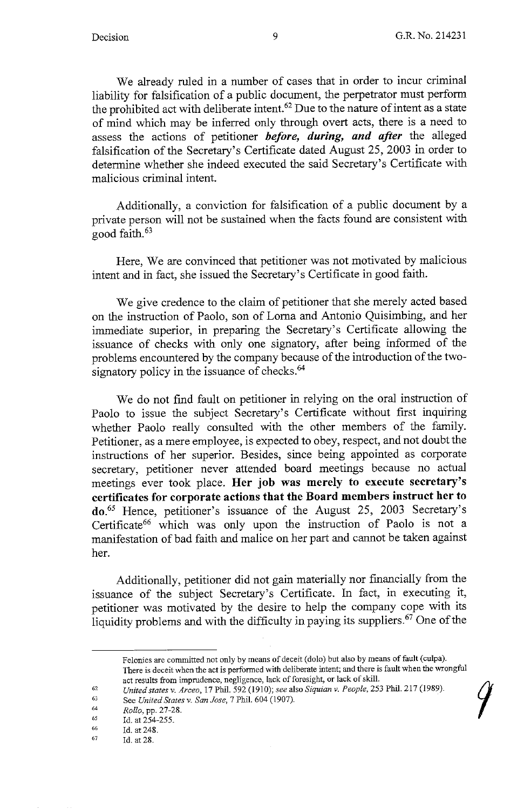We already ruled in a number of cases that in order to incur criminal liability for falsification of a public document, the perpetrator must perform the prohibited act with deliberate intent.<sup>62</sup> Due to the nature of intent as a state of mind which may be inferred only through overt acts, there is a need to assess the actions of petitioner *before, during, and after* the alleged falsification of the Secretary's Certificate dated August 25, 2003 in order to determine whether she indeed executed the said Secretary's Certificate with malicious criminal intent.

Additionally, a conviction for falsification of a public document by a private person will not be sustained when the facts found are consistent with good faith. 63

Here, We are convinced that petitioner was not motivated by malicious intent and in fact, she issued the Secretary's Certificate in good faith.

We give credence to the claim of petitioner that she merely acted based on the instruction of Paolo, son of Loma and Antonio Quisimbing, and her immediate superior, in preparing the Secretary's Certificate allowing the issuance of checks with only one signatory, after being informed of the problems encountered by the company because of the introduction of the twosignatory policy in the issuance of checks.<sup>64</sup>

We do not find fault on petitioner in relying on the oral instruction of Paolo to issue the subject Secretary's Certificate without first inquiring whether Paolo really consulted with the other members of the family. Petitioner, as a mere employee, is expected to obey, respect, and not doubt the instructions of her superior. Besides, since being appointed as corporate secretary, petitioner never attended board meetings because no actual meetings ever took place. **Her job was merely to execute secretary's certificates for corporate actions that the Board members instruct her to do.65** Hence, petitioner's issuance of the August 25, 2003 Secretary's Certificate<sup>66</sup> which was only upon the instruction of Paolo is not a manifestation of bad faith and malice on her part and cannot be taken against her.

Additionally, petitioner did not gain materially nor financially from the issuance of the subject Secretary's Certificate. In fact, in executing it, petitioner was motivated by the desire to help the company cope with its liquidity problems and with the difficulty in paying its suppliers.<sup>67</sup> One of the

66 Id. at 248.

Felonies are connnitted not only by means of deceit (dolo) but also by means of fault (culpa). There is deceit when the act is performed with deliberate intent; and there is fault when the wrongful act results from imprudence, negligence, lack of foresight, or lack of skill.

<sup>62</sup>  *United states v. Arceo, 17 Phil. 592 (1910); see also Siquian v. People, 253 Phil. 217 (1989).* 

<sup>63</sup>  See *United States v. San Jose*, 7 Phil. 604 (1907).

<sup>64</sup>  *Rollo,* pp. 27-28.

<sup>65</sup>  Id. at 254-255.

<sup>67</sup>  Id. at 28.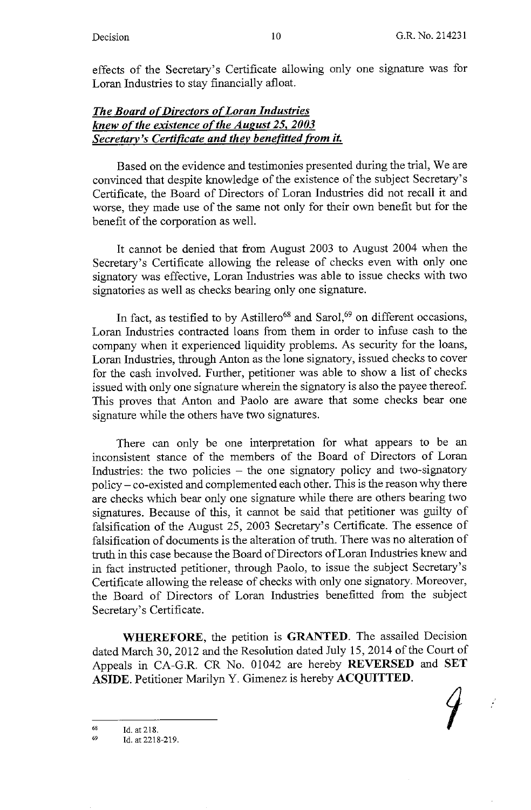$\mathcal{L}$ 

effects of the Secretary's Certificate allowing only one signature was for Loran Industries to stay financially afloat.

# **The Board of Directors of Loran Industries** *knew of the existence of the August 25, 2003 Secretary's Certificate and they benefitted from it.*

Based on the evidence and testimonies presented during the trial, We are convinced that despite knowledge of the existence of the subject Secretary's Certificate, the Board of Directors of Loran Industries did not recall it and worse, they made use of the same not only for their own benefit but for the benefit of the corporation as well.

It cannot be denied that from August 2003 to August 2004 when the Secretary's Certificate allowing the release of checks even with only one signatory was effective, Loran Industries was able to issue checks with two signatories as well as checks bearing only one signature.

In fact, as testified to by Astillero<sup>68</sup> and Sarol,<sup>69</sup> on different occasions, Loran Industries contracted loans from them in order to infuse cash to the company when it experienced liquidity problems. As security for the loans, Loran Industries, through Anton as the lone signatory, issued checks to cover for the cash involved. Further, petitioner was able to show a list of checks issued with only one signature wherein the signatory is also the payee thereof. This proves that Anton and Paolo are aware that some checks bear one signature while the others have two signatures.

There can only be one interpretation for what appears to be an inconsistent stance of the members of the Board of Directors of Loran Industries: the two policies - the one signatory policy and two-signatory policy- co-existed and complemented each other. This is the reason why there are checks which bear only one signature while there are others bearing two signatures. Because of this, it cannot be said that petitioner was guilty of falsification of the August 25, 2003 Secretary's Certificate. The essence of falsification of documents is the alteration of truth. There was no alteration of truth in this case because the Board of Directors of Loran Industries knew and in fact instructed petitioner, through Paolo, to issue the subject Secretary's Certificate allowing the release of checks with only one signatory. Moreover, the Board of Directors of Loran Industries benefitted from the subject Secretary's Certificate.

**WHEREFORE,** the petition is **GRANTED.** The assailed Decision dated March 30, 2012 and the Resolution dated July 15, 2014 of the Court of Appeals in CA-G.R. CR No. 01042 are hereby **REVERSED** and **SET ASIDE.** Petitioner Marilyn Y. Gimenez is hereby **ACQUITTED.** 

68 Id. at 218.

<sup>69</sup>  Id. at2218-219.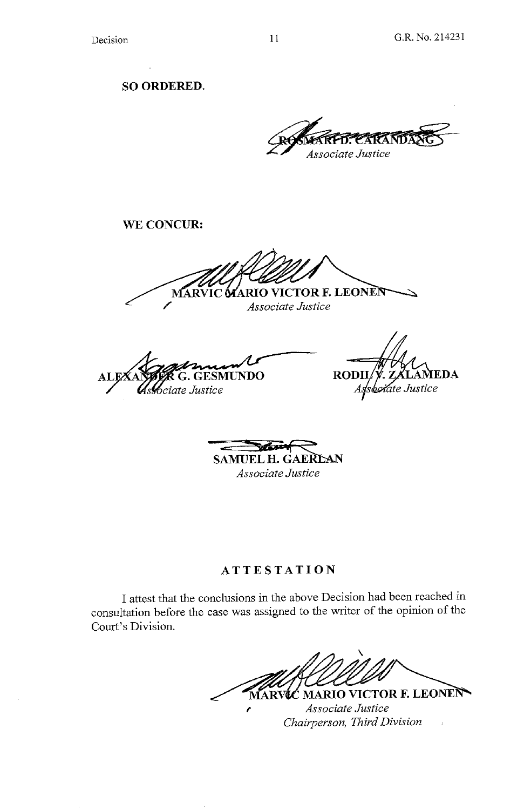**SO ORDERED.** 

Associate Justice

**WE CONCUR:** 

**AARIO VICTOR F. LEONEN**  $\Gamma$ **MAR** *Associate Justice* 

**G.GESMUNDO**   ${\bf AL}$ sciate Justice

 $\bf{RODII}$ . ZALAMEDA Associate Justice

**,c - R""" SAMUEL H. GAERLAN** *Associate Justice* 

# **ATTESTATION**

I attest that the conclusions in the above Decision had been reached in consultation before the case was assigned to the writer of the opinion of the Court's Division.

MARVIC MARIO VICTOR F. LEONEN

*<sup>f</sup>Associate Justice Chairperson, Third Division*  $\bar{\bar{z}}$